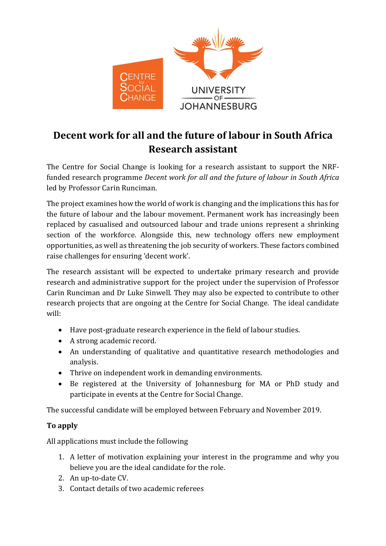

## **Decent work for all and the future of labour in South Africa Research assistant**

The Centre for Social Change is looking for a research assistant to support the NRFfunded research programme *Decent work for all and the future of labour in South Africa* led by Professor Carin Runciman.

The project examines how the world of work is changing and the implications this has for the future of labour and the labour movement. Permanent work has increasingly been replaced by casualised and outsourced labour and trade unions represent a shrinking section of the workforce. Alongside this, new technology offers new employment opportunities, as well as threatening the job security of workers. These factors combined raise challenges for ensuring 'decent work'.

The research assistant will be expected to undertake primary research and provide research and administrative support for the project under the supervision of Professor Carin Runciman and Dr Luke Sinwell. They may also be expected to contribute to other research projects that are ongoing at the Centre for Social Change. The ideal candidate will:

- Have post-graduate research experience in the field of labour studies.
- A strong academic record.
- An understanding of qualitative and quantitative research methodologies and analysis.
- Thrive on independent work in demanding environments.
- Be registered at the University of Johannesburg for MA or PhD study and participate in events at the Centre for Social Change.

The successful candidate will be employed between February and November 2019.

## **To apply**

All applications must include the following

- 1. A letter of motivation explaining your interest in the programme and why you believe you are the ideal candidate for the role.
- 2. An up-to-date CV.
- 3. Contact details of two academic referees